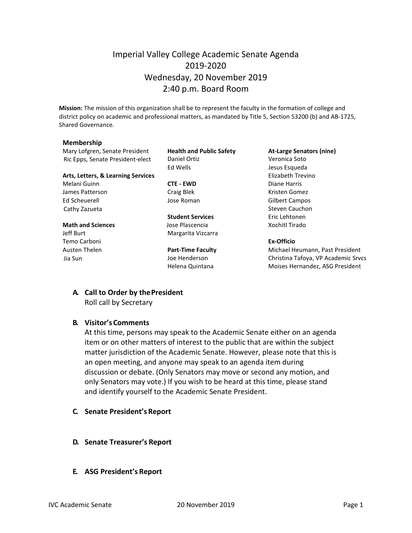## Imperial Valley College Academic Senate Agenda 2019-2020 Wednesday, 20 November 2019 2:40 p.m. Board Room

**Mission:** The mission of this organization shall be to represent the faculty in the formation of college and district policy on academic and professional matters, as mandated by Title 5, Section 53200 (b) and AB-1725, Shared Governance.

#### **Membership**

Mary Lofgren, Senate President **Health and Public Safety At-Large Senators (nine)** Ric Epps, Senate President-elect Daniel Ortiz Veronica Soto

#### **Arts, Letters, & Learning Services Elizabeth Trevino**

Melani Guinn **CTE - EWD** Diane Harris James Patterson **Craig Blek** Craig Blek Kristen Gomez Ed Scheuerell Jose Roman Gilbert Campos Cathy Zazueta **Steven Cauchon** Steven Cauchon

Temo Carboni **Ex-Officio**

Ed Wells Jesus Esqueda

**Student Services** Eric Lehtonen **Math and Sciences Contains Lower Plascencia Contains a Science Xochitl Tirado** Jeff Burt **Margarita Vizcarra** 

Austen Thelen **Part-Time Faculty** Michael Heumann, Past President Jia Sun Joe Henderson Christina Tafoya, VP Academic Srvcs Helena Quintana **Moises Hernandez**, ASG President

# **A. Call to Order by thePresident**

Roll call by Secretary

#### **B. Visitor's Comments**

At this time, persons may speak to the Academic Senate either on an agenda item or on other matters of interest to the public that are within the subject matter jurisdiction of the Academic Senate. However, please note that this is an open meeting, and anyone may speak to an agenda item during discussion or debate. (Only Senators may move or second any motion, and only Senators may vote.) If you wish to be heard at this time, please stand and identify yourself to the Academic Senate President.

- **C. Senate President's Report**
- **D. Senate Treasurer's Report**
- **E. ASG President's Report**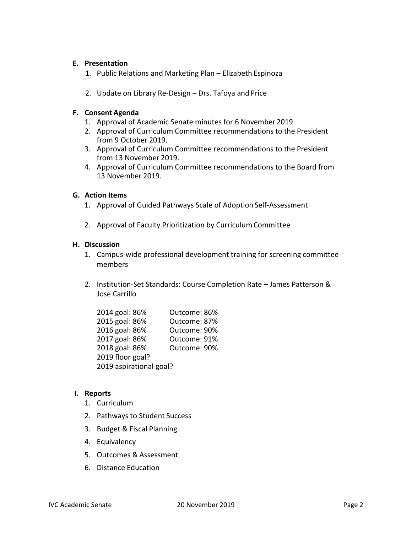#### **E. Presentation**

- 1. Public Relations and Marketing Plan Elizabeth Espinoza
- 2. Update on Library Re-Design Drs. Tafoya and Price

#### **F. Consent Agenda**

- 1. Approval of Academic Senate minutes for 6 November 2019
- 2. Approval of Curriculum Committee recommendations to the President from 9 October 2019.
- 3. Approval of Curriculum Committee recommendations to the President from 13 November 2019.
- 4. Approval of Curriculum Committee recommendations to the Board from 13 November 2019.

#### **G. Action Items**

- 1. Approval of Guided Pathways Scale of Adoption Self-Assessment
- 2. Approval of Faculty Prioritization by CurriculumCommittee

#### **H. Discussion**

- 1. Campus-wide professional development training for screening committee members
- 2. Institution-Set Standards: Course Completion Rate James Patterson & Jose Carrillo

| 2014 goal: 86%          | Outcome: 86% |
|-------------------------|--------------|
| 2015 goal: 86%          | Outcome: 87% |
| 2016 goal: 86%          | Outcome: 90% |
| 2017 goal: 86%          | Outcome: 91% |
| 2018 goal: 86%          | Outcome: 90% |
| 2019 floor goal?        |              |
| 2019 aspirational goal? |              |

#### **I. Reports**

- 1. Curriculum
- 2. Pathways to Student Success
- 3. Budget & Fiscal Planning
- 4. Equivalency
- 5. Outcomes & Assessment
- 6. Distance Education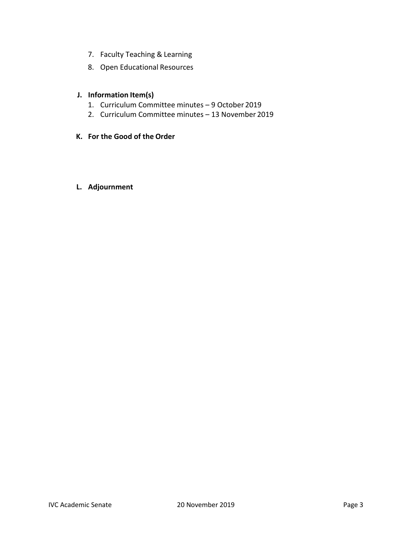- 7. Faculty Teaching & Learning
- 8. Open Educational Resources

### **J. Information Item(s)**

- 1. Curriculum Committee minutes 9 October 2019
- 2. Curriculum Committee minutes 13 November 2019
- **K. For the Good of the Order**

### **L. Adjournment**